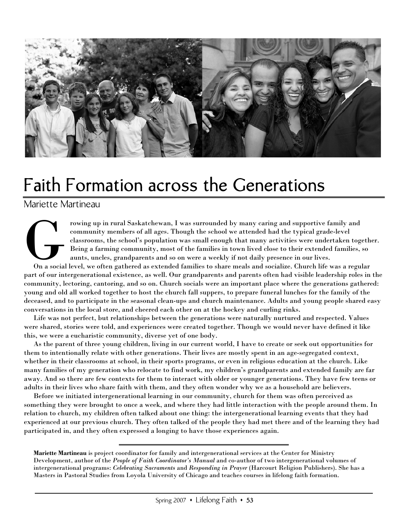

# Faith Formation across the Generations

## Mariette Martineau

rowing up in rural Saskatchewan, I was surrounded by many caring and supportive family and community members of all ages. Though the school we attended had the typical grade-level classrooms, the school's population was small enough that many activities were undertaken together. Being a farming community, most of the families in town lived close to their extended families, so aunts, uncles, grandparents and so on were a weekly if not daily presence in our lives. France Contracted Contracted Contracted Contracted Contracted Contracted Contracted Contracted Contracted Contracted Contracted Contracted Contracted Contracted Contracted Contracted Contracted Contracted Contracted Contra

On a social level, we often gathered as extended families to share meals and socialize. Church life was a regular part of our intergenerational existence, as well. Our grandparents and parents often had visible leadership roles in the community, lectoring, cantoring, and so on. Church socials were an important place where the generations gathered: young and old all worked together to host the church fall suppers, to prepare funeral lunches for the family of the deceased, and to participate in the seasonal clean-ups and church maintenance. Adults and young people shared easy conversations in the local store, and cheered each other on at the hockey and curling rinks.

Life was not perfect, but relationships between the generations were naturally nurtured and respected. Values were shared, stories were told, and experiences were created together. Though we would never have defined it like this, we were a eucharistic community, diverse yet of one body.

As the parent of three young children, living in our current world, I have to create or seek out opportunities for them to intentionally relate with other generations. Their lives are mostly spent in an age-segregated context, whether in their classrooms at school, in their sports programs, or even in religious education at the church. Like many families of my generation who relocate to find work, my children's grandparents and extended family are far away. And so there are few contexts for them to interact with older or younger generations. They have few teens or adults in their lives who share faith with them, and they often wonder why we as a household are believers.

Before we initiated intergenerational learning in our community, church for them was often perceived as something they were brought to once a week, and where they had little interaction with the people around them. In relation to church, my children often talked about one thing: the intergenerational learning events that they had experienced at our previous church. They often talked of the people they had met there and of the learning they had participated in, and they often expressed a longing to have those experiences again.

**Mariette Martineau** is project coordinator for family and intergenerational services at the Center for Ministry Development, author of the *People of Faith Coordinator's Manual* and co-author of two intergenerational volumes of intergenerational programs: *Celebrating Sacraments* and *Responding in Prayer* (Harcourt Religion Publishers). She has a Masters in Pastoral Studies from Loyola University of Chicago and teaches courses in lifelong faith formation.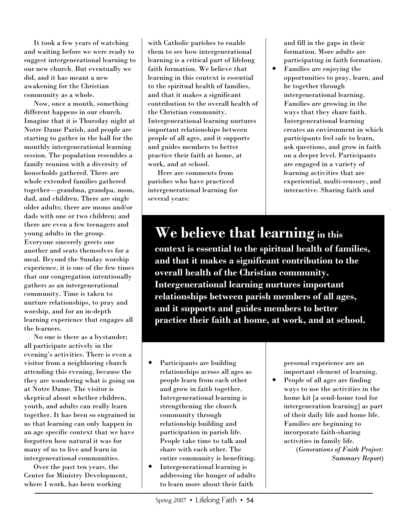It took a few years of watching and waiting before we were ready to suggest intergenerational learning to our new church. But eventually we did, and it has meant a new awakening for the Christian community as a whole.

Now, once a month, something different happens in our church. Imagine that it is Thursday night at Notre Dame Parish, and people are starting to gather in the hall for the monthly intergenerational learning session. The population resembles a family reunion with a diversity of households gathered. There are whole extended families gathered together—grandma, grandpa, mom, dad, and children. There are single older adults; there are moms and/or dads with one or two children; and there are even a few teenagers and young adults in the group. Everyone sincerely greets one another and seats themselves for a meal. Beyond the Sunday worship experience, it is one of the few times that our congregation intentionally gathers as an intergenerational community. Time is taken to nurture relationships, to pray and worship, and for an in-depth learning experience that engages all the learners.

No one is there as a bystander; all participate actively in the evening's activities. There is even a visitor from a neighboring church attending this evening, because the they are wondering what is going on at Notre Dame. The visitor is skeptical about whether children, youth, and adults can really learn together. It has been so engrained in us that learning can only happen in an age specific context that we have forgotten how natural it was for many of us to live and learn in intergenerational communities.

Over the past ten years, the Center for Ministry Development, where I work, has been working

with Catholic parishes to enable them to see how intergenerational learning is a critical part of lifelong faith formation. We believe that learning in this context is essential to the spiritual health of families, and that it makes a significant contribution to the overall health of the Christian community. Intergenerational learning nurtures important relationships between people of all ages, and it supports and guides members to better practice their faith at home, at work, and at school.

Here are comments from parishes who have practiced intergenerational learning for several years:

and fill in the gaps in their formation. More adults are participating in faith formation.

 Families are enjoying the opportunities to pray, learn, and be together through intergenerational learning. Families are growing in the ways that they share faith. Intergenerational learning creates an environment in which participants feel safe to learn, ask questions, and grow in faith on a deeper level. Participants are engaged in a variety of learning activities that are experiential, multi-sensory, and interactive. Sharing faith and

# **We believe that learning in this**

**context is essential to the spiritual health of families, and that it makes a significant contribution to the overall health of the Christian community. Intergenerational learning nurtures important relationships between parish members of all ages, and it supports and guides members to better practice their faith at home, at work, and at school.** 

- Participants are building relationships across all ages as people learn from each other and grow in faith together. Intergenerational learning is strengthening the church community through relationship building and participation in parish life. People take time to talk and share with each other. The entire community is benefiting.
- Intergenerational learning is addressing the hunger of adults to learn more about their faith

personal experience are an important element of learning.

 People of all ages are finding ways to use the activities in the home kit [a send-home tool for intergeneration learning] as part of their daily life and home life. Families are beginning to incorporate faith-sharing activities in family life.

(*Generations of Faith Project: Summary Report*)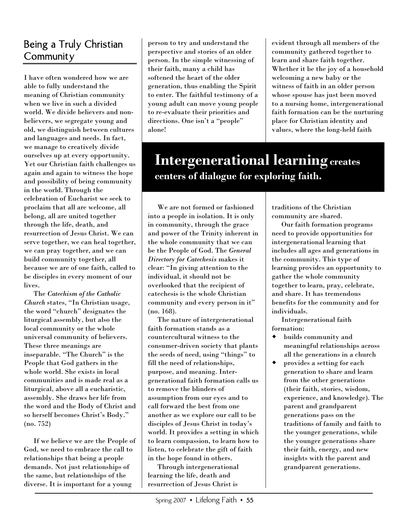## Being a Truly Christian Community

I have often wondered how we are able to fully understand the meaning of Christian community when we live in such a divided world. We divide believers and nonbelievers, we segregate young and old, we distinguish between cultures and languages and needs. In fact, we manage to creatively divide ourselves up at every opportunity. Yet our Christian faith challenges us again and again to witness the hope and possibility of being community in the world. Through the celebration of Eucharist we seek to proclaim that all are welcome, all belong, all are united together through the life, death, and resurrection of Jesus Christ. We can serve together, we can heal together, we can pray together, and we can build community together, all because we are of one faith, called to be disciples in every moment of our lives.

The *Catechism of the Catholic Church* states, "In Christian usage, the word "church" designates the liturgical assembly, but also the local community or the whole universal community of believers. These three meanings are inseparable. "The Church" is the People that God gathers in the whole world. She exists in local communities and is made real as a liturgical, above all a eucharistic, assembly. She draws her life from the word and the Body of Christ and so herself becomes Christ's Body." (no. 752)

If we believe we are the People of God, we need to embrace the call to relationships that being a people demands. Not just relationships of the same, but relationships of the diverse. It is important for a young

person to try and understand the perspective and stories of an older person. In the simple witnessing of their faith, many a child has softened the heart of the older generation, thus enabling the Spirit to enter. The faithful testimony of a young adult can move young people to re-evaluate their priorities and directions. One isn't a "people" alone!

evident through all members of the community gathered together to learn and share faith together. Whether it be the joy of a household welcoming a new baby or the witness of faith in an older person whose spouse has just been moved to a nursing home, intergenerational faith formation can be the nurturing place for Christian identity and values, where the long-held faith

## **Intergenerational learning creates centers of dialogue for exploring faith.**

We are not formed or fashioned into a people in isolation. It is only in community, through the grace and power of the Trinity inherent in the whole community that we can be the People of God. The *General Directory for Catechesis* makes it clear: "In giving attention to the individual, it should not be overlooked that the recipient of catechesis is the whole Christian community and every person in it" (no. 168).

The nature of intergenerational faith formation stands as a countercultural witness to the consumer-driven society that plants the seeds of need, using "things" to fill the need of relationships, purpose, and meaning. Intergenerational faith formation calls us to remove the blinders of assumption from our eyes and to call forward the best from one another as we explore our call to be disciples of Jesus Christ in today's world. It provides a setting in which to learn compassion, to learn how to listen, to celebrate the gift of faith in the hope found in others.

Through intergenerational learning the life, death and resurrection of Jesus Christ is

traditions of the Christian community are shared.

Our faith formation programs need to provide opportunities for intergenerational learning that includes all ages and generations in the community. This type of learning provides an opportunity to gather the whole community together to learn, pray, celebrate, and share. It has tremendous benefits for the community and for individuals.

Intergenerational faith formation:

- builds community and meaningful relationships across all the generations in a church
- provides a setting for each generation to share and learn from the other generations (their faith, stories, wisdom, experience, and knowledge). The parent and grandparent generations pass on the traditions of family and faith to the younger generations, while the younger generations share their faith, energy, and new insights with the parent and grandparent generations.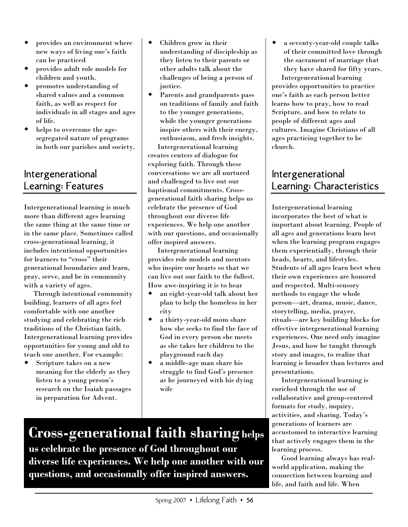- provides an environment where new ways of living one's faith can be practiced
- provides adult role models for children and youth.
- promotes understanding of shared values and a common faith, as well as respect for individuals in all stages and ages of life.
- helps to overcome the agesegregated nature of programs in both our parishes and society.

## Intergenerational Learning: Features

Intergenerational learning is much more than different ages learning the same thing at the same time or in the same place. Sometimes called cross-generational learning, it includes intentional opportunities for learners to "cross" their generational boundaries and learn, pray, serve, and be in community with a variety of ages.

Through intentional community building, learners of all ages feel comfortable with one another studying and celebrating the rich traditions of the Christian faith. Intergenerational learning provides opportunities for young and old to teach one another. For example:

 Scripture takes on a new meaning for the elderly as they listen to a young person's research on the Isaiah passages in preparation for Advent.

- Children grow in their understanding of discipleship as they listen to their parents or other adults talk about the challenges of being a person of justice.
- Parents and grandparents pass on traditions of family and faith to the younger generations, while the younger generations inspire others with their energy, enthusiasm, and fresh insights.

Intergenerational learning creates centers of dialogue for exploring faith. Through these conversations we are all nurtured and challenged to live out our baptismal commitments. Crossgenerational faith sharing helps us celebrate the presence of God throughout our diverse life experiences. We help one another with our questions, and occasionally offer inspired answers.

Intergenerational learning provides role models and mentors who inspire our hearts so that we can live out our faith to the fullest. How awe-inspiring it is to hear

- an eight-year-old talk about her plan to help the homeless in her city
- a thirty-year-old mom share how she seeks to find the face of God in every person she meets as she takes her children to the playground each day
- a middle-age man share his struggle to find God's presence as he journeyed with his dying wife

 a seventy-year-old couple talks of their committed love through the sacrament of marriage that they have shared for fifty years.

Intergenerational learning provides opportunities to practice one's faith as each person better learns how to pray, how to read Scripture, and how to relate to people of different ages and cultures. Imagine Christians of all ages practicing together to be church.

## Intergenerational Learning: Characteristics

Intergenerational learning incorporates the best of what is important about learning. People of all ages and generations learn best when the learning program engages them experientially, through their heads, hearts, and lifestyles. Students of all ages learn best when their own experiences are honored and respected. Multi-sensory methods to engage the whole person—art, drama, music, dance, storytelling, media, prayer, rituals—are key building blocks for effective intergenerational learning experiences. One need only imagine Jesus, and how he taught through story and images, to realize that learning is broader than lectures and presentations.

Intergenerational learning is enriched through the use of collaborative and group-centered formats for study, inquiry, activities, and sharing. Today's generations of learners are accustomed to interactive learning that actively engages them in the learning process.

Good learning always has realworld application, making the connection between learning and life, and faith and life. When

**Cross-generational faith sharing helps us celebrate the presence of God throughout our diverse life experiences. We help one another with our questions, and occasionally offer inspired answers.**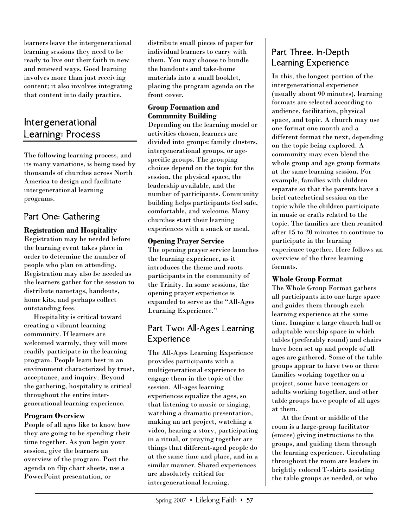learners leave the intergenerational learning sessions they need to be ready to live out their faith in new and renewed ways. Good learning involves more than just receiving content; it also involves integrating that content into daily practice.

## Intergenerational Learning: Process

The following learning process, and its many variations, is being used by thousands of churches across North America to design and facilitate intergenerational learning programs.

## Part One: Gathering

**Registration and Hospitality**  Registration may be needed before the learning event takes place in order to determine the number of people who plan on attending. Registration may also be needed as the learners gather for the session to distribute nametags, handouts, home kits, and perhaps collect outstanding fees.

Hospitality is critical toward creating a vibrant learning community. If learners are welcomed warmly, they will more readily participate in the learning program. People learn best in an environment characterized by trust, acceptance, and inquiry. Beyond the gathering, hospitality is critical throughout the entire intergenerational learning experience.

#### **Program Overview**

People of all ages like to know how they are going to be spending their time together. As you begin your session, give the learners an overview of the program. Post the agenda on flip chart sheets, use a PowerPoint presentation, or

distribute small pieces of paper for individual learners to carry with them. You may choose to bundle the handouts and take-home materials into a small booklet, placing the program agenda on the front cover.

#### **Group Formation and Community Building**

Depending on the learning model or activities chosen, learners are divided into groups: family clusters, intergenerational groups, or agespecific groups. The grouping choices depend on the topic for the session, the physical space, the leadership available, and the number of participants. Community building helps participants feel safe, comfortable, and welcome. Many churches start their learning experiences with a snack or meal.

#### **Opening Prayer Service**

The opening prayer service launches the learning experience, as it introduces the theme and roots participants in the community of the Trinity. In some sessions, the opening prayer experience is expanded to serve as the "All-Ages Learning Experience."

### Part Two: All-Ages Learning Experience

The All-Ages Learning Experience provides participants with a multigenerational experience to engage them in the topic of the session. All-ages learning experiences equalize the ages, so that listening to music or singing, watching a dramatic presentation, making an art project, watching a video, hearing a story, participating in a ritual, or praying together are things that different-aged people do at the same time and place, and in a similar manner. Shared experiences are absolutely critical for intergenerational learning.

## Part Three. In-Depth Learning Experience

In this, the longest portion of the intergenerational experience (usually about 90 minutes), learning formats are selected according to audience, facilitation, physical space, and topic. A church may use one format one month and a different format the next, depending on the topic being explored. A community may even blend the whole group and age group formats at the same learning session. For example, families with children separate so that the parents have a brief catechetical session on the topic while the children participate in music or crafts related to the topic. The families are then reunited after 15 to 20 minutes to continue to participate in the learning experience together. Here follows an overview of the three learning formats.

#### **Whole Group Format**

The Whole Group Format gathers all participants into one large space and guides them through each learning experience at the same time. Imagine a large church hall or adaptable worship space in which tables (preferably round) and chairs have been set up and people of all ages are gathered. Some of the table groups appear to have two or three families working together on a project, some have teenagers or adults working together, and other table groups have people of all ages at them.

At the front or middle of the room is a large-group facilitator (emcee) giving instructions to the groups, and guiding them through the learning experience. Circulating throughout the room are leaders in brightly colored T-shirts assisting the table groups as needed, or who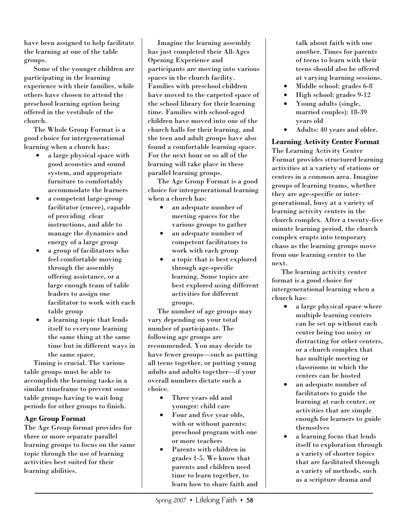have been assigned to help facilitate the learning at one of the table groups.

Some of the younger children are participating in the learning experience with their families, while others have chosen to attend the preschool learning option being offered in the vestibule of the church.

The Whole Group Format is a good choice for intergenerational learning when a church has:

- a large physical space with good acoustics and sound system, and appropriate furniture to comfortably accommodate the learners
- a competent large-group facilitator (emcee), capable of providing clear instructions, and able to manage the dynamics and energy of a large group
- a group of facilitators who feel comfortable moving through the assembly offering assistance, or a large enough team of table leaders to assign one facilitator to work with each table group
- a learning topic that lends itself to everyone learning the same thing at the same time but in different ways in the same space.

Timing is crucial. The various table groups must be able to accomplish the learning tasks in a similar timeframe to prevent some table groups having to wait long periods for other groups to finish.

#### **Age Group Format**

The Age Group format provides for three or more separate parallel learning groups to focus on the same topic through the use of learning activities best suited for their learning abilities.

Imagine the learning assembly has just completed their All-Ages Opening Experience and participants are moving into various spaces in the church facility. Families with preschool children have moved to the carpeted space of the school library for their learning time. Families with school-aged children have moved into one of the church halls for their learning, and the teen and adult groups have also found a comfortable learning space. For the next hour or so all of the learning will take place in these parallel learning groups.

The Age Group Format is a good choice for intergenerational learning when a church has:

- an adequate number of meeting spaces for the various groups to gather
- an adequate number of competent facilitators to work with each group
- a topic that is best explored through age-specific learning. Some topics are best explored using different activities for different groups.

The number of age groups may vary depending on your total number of participants. The following age groups are recommended. You may decide to have fewer groups—such as putting all teens together, or putting young adults and adults together—if your overall numbers dictate such a choice.

- Three years old and younger: child care
- Four and five year olds, with or without parents: preschool program with one or more teachers
- Parents with children in grades 1-5. We know that parents and children need time to learn together, to learn how to share faith and

talk about faith with one another. Times for parents of teens to learn with their teens should also be offered at varying learning sessions.

- Middle school: grades 6-8
- High school: grades 9-12
- Young adults (single, married couples): 18-39 years old
- Adults: 40 years and older.

**Learning Activity Center Format**  The Learning Activity Center Format provides structured learning activities at a variety of stations or centers in a common area. Imagine groups of learning teams, whether they are age-specific or intergenerational, busy at a variety of learning activity centers in the church complex. After a twenty-five minute learning period, the church complex erupts into temporary chaos as the learning groups move from one learning center to the next.

The learning activity center format is a good choice for intergenerational learning when a church has:

- a large physical space where multiple learning centers can be set up without each center being too noisy or distracting for other centers, or a church complex that has multiple meeting or classrooms in which the centers can be hosted
- an adequate number of facilitators to guide the learning at each center, or activities that are simple enough for learners to guide themselves
- a learning focus that lends itself to exploration through a variety of shorter topics that are facilitated through a variety of methods, such as a scripture drama and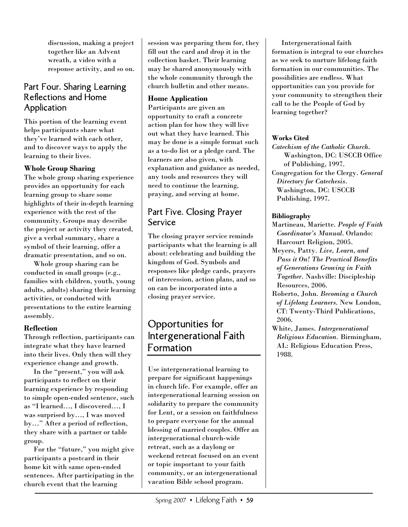discussion, making a project together like an Advent wreath, a video with a response activity, and so on.

### Part Four. Sharing Learning Reflections and Home Application

This portion of the learning event helps participants share what they've learned with each other, and to discover ways to apply the learning to their lives.

#### **Whole Group Sharing**

The whole group sharing experience provides an opportunity for each learning group to share some highlights of their in-depth learning experience with the rest of the community. Groups may describe the project or activity they created, give a verbal summary, share a symbol of their learning, offer a dramatic presentation, and so on.

Whole group sharing can be conducted in small groups (e.g., families with children, youth, young adults, adults) sharing their learning activities, or conducted with presentations to the entire learning assembly.

#### **Reflection**

Through reflection, participants can integrate what they have learned into their lives. Only then will they experience change and growth.

In the "present," you will ask participants to reflect on their learning experience by responding to simple open-ended sentence, such as "I learned…, I discovered…, I was surprised by…, I was moved by…" After a period of reflection, they share with a partner or table group.

For the "future," you might give participants a postcard in their home kit with same open-ended sentences. After participating in the church event that the learning

session was preparing them for, they fill out the card and drop it in the collection basket. Their learning may be shared anonymously with the whole community through the church bulletin and other means.

#### **Home Application**

Participants are given an opportunity to craft a concrete action plan for how they will live out what they have learned. This may be done is a simple format such as a to-do list or a pledge card. The learners are also given, with explanation and guidance as needed, any tools and resources they will need to continue the learning, praying, and serving at home.

## Part Five. Closing Prayer Service

The closing prayer service reminds participants what the learning is all about: celebrating and building the kingdom of God. Symbols and responses like pledge cards, prayers of intercession, action plans, and so on can be incorporated into a closing prayer service.

## Opportunities for Intergenerational Faith Formation

Use intergenerational learning to prepare for significant happenings in church life. For example, offer an intergenerational learning session on solidarity to prepare the community for Lent, or a session on faithfulness to prepare everyone for the annual blessing of married couples. Offer an intergenerational church-wide retreat, such as a daylong or weekend retreat focused on an event or topic important to your faith community, or an intergenerational vacation Bible school program.

Intergenerational faith formation is integral to our churches as we seek to nurture lifelong faith formation in our communities. The possibilities are endless. What opportunities can you provide for your community to strengthen their call to be the People of God by learning together?

#### **Works Cited**

*Catechism of the Catholic Church*. Washington, DC: USCCB Office of Publishing, 1997. Congregation for the Clergy. *General Directory for Catechesis*. Washington, DC: USCCB Publishing, 1997.

#### **Bibliography**

- Martineau, Mariette. *People of Faith Coordinator's Manual*. Orlando: Harcourt Religion, 2005.
- Meyers, Patty. *Live, Learn, and Pass it On! The Practical Benefits of Generations Growing in Faith Together*. Nashville: Discipleship Resources, 2006.
- Roberto, John. *Becoming a Church of Lifelong Learners*. New London, CT: Twenty-Third Publications, 2006.
- White, James. *Intergenerational Religious Education.* Birmingham, AL: Religious Education Press, 1988.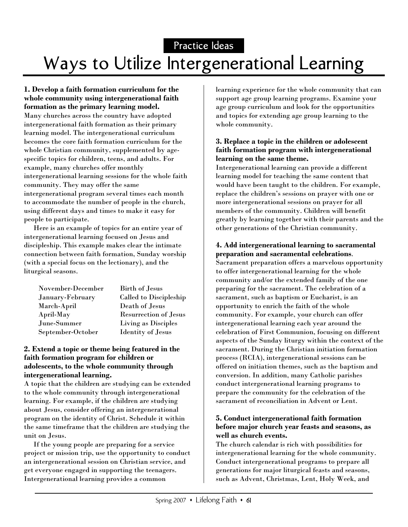Practice Ideas

# Ways to Utilize Intergenerational Learning

#### **1. Develop a faith formation curriculum for the whole community using intergenerational faith formation as the primary learning model.**

Many churches across the country have adopted intergenerational faith formation as their primary learning model. The intergenerational curriculum becomes the core faith formation curriculum for the whole Christian community, supplemented by agespecific topics for children, teens, and adults. For example, many churches offer monthly intergenerational learning sessions for the whole faith community. They may offer the same intergenerational program several times each month to accommodate the number of people in the church, using different days and times to make it easy for people to participate.

Here is an example of topics for an entire year of intergenerational learning focused on Jesus and discipleship. This example makes clear the intimate connection between faith formation, Sunday worship (with a special focus on the lectionary), and the liturgical seasons.

| November-December | <b>Birth of Jesus</b>        |
|-------------------|------------------------------|
| January-February  | Called to Discipleship       |
| March-April       | Death of Jesus               |
| April-May         | <b>Resurrection of Jesus</b> |
| June-Summer       | Living as Disciples          |
| September-October | <b>Identity of Jesus</b>     |

#### **2. Extend a topic or theme being featured in the faith formation program for children or adolescents, to the whole community through intergenerational learning.**

A topic that the children are studying can be extended to the whole community through intergenerational learning. For example, if the children are studying about Jesus, consider offering an intergenerational program on the identity of Christ. Schedule it within the same timeframe that the children are studying the unit on Jesus.

If the young people are preparing for a service project or mission trip, use the opportunity to conduct an intergenerational session on Christian service, and get everyone engaged in supporting the teenagers. Intergenerational learning provides a common

learning experience for the whole community that can support age group learning programs. Examine your age group curriculum and look for the opportunities and topics for extending age group learning to the whole community.

#### **3. Replace a topic in the children or adolescent faith formation program with intergenerational learning on the same theme.**

Intergenerational learning can provide a different learning model for teaching the same content that would have been taught to the children. For example, replace the children's sessions on prayer with one or more intergenerational sessions on prayer for all members of the community. Children will benefit greatly by learning together with their parents and the other generations of the Christian community.

#### **4. Add intergenerational learning to sacramental preparation and sacramental celebrations**.

Sacrament preparation offers a marvelous opportunity to offer intergenerational learning for the whole community and/or the extended family of the one preparing for the sacrament. The celebration of a sacrament, such as baptism or Eucharist, is an opportunity to enrich the faith of the whole community. For example, your church can offer intergenerational learning each year around the celebration of First Communion, focusing on different aspects of the Sunday liturgy within the context of the sacrament. During the Christian initiation formation process (RCIA), intergenerational sessions can be offered on initiation themes, such as the baptism and conversion. In addition, many Catholic parishes conduct intergenerational learning programs to prepare the community for the celebration of the sacrament of reconciliation in Advent or Lent.

#### **5. Conduct intergenerational faith formation before major church year feasts and seasons, as well as church events.**

The church calendar is rich with possibilities for intergenerational learning for the whole community. Conduct intergenerational programs to prepare all generations for major liturgical feasts and seasons, such as Advent, Christmas, Lent, Holy Week, and